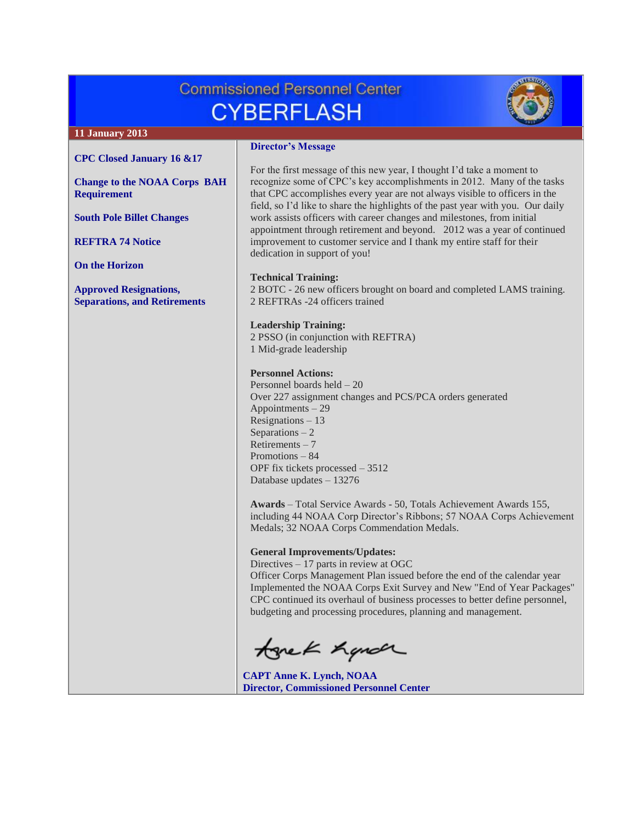# **Commissioned Personnel Center CYBERFLASH**



# **11 January 2013**

#### **[CPC Closed January 16 &17](#page-1-0)**

**[Change to the NOAA Corps BAH](#page-1-1)  [Requirement](#page-1-1)**

**[South Pole Billet Changes](#page-1-2)**

**[REFTRA](#page-1-3) 74 Notice**

**[On the Horizon](#page-1-3)**

**[Approved Resignations,](#page-2-0)  [Separations, and Retirements](#page-2-0)**

#### **Director's Message**

For the first message of this new year, I thought I'd take a moment to recognize some of CPC's key accomplishments in 2012. Many of the tasks that CPC accomplishes every year are not always visible to officers in the field, so I'd like to share the highlights of the past year with you. Our daily work assists officers with career changes and milestones, from initial appointment through retirement and beyond. 2012 was a year of continued improvement to customer service and I thank my entire staff for their dedication in support of you!

#### **Technical Training:**

2 BOTC - 26 new officers brought on board and completed LAMS training. 2 REFTRAs -24 officers trained

# **Leadership Training:**

2 PSSO (in conjunction with REFTRA) 1 Mid-grade leadership

## **Personnel Actions:**

Personnel boards held – 20 Over 227 assignment changes and PCS/PCA orders generated Appointments – 29 Resignations – 13 Separations  $-2$ Retirements – 7 Promotions – 84 OPF fix tickets processed – 3512 Database updates – 13276

**Awards** – Total Service Awards - 50, Totals Achievement Awards 155, including 44 NOAA Corp Director's Ribbons; 57 NOAA Corps Achievement Medals; 32 NOAA Corps Commendation Medals.

#### **General Improvements/Updates:**

Directives – 17 parts in review at OGC

Officer Corps Management Plan issued before the end of the calendar year Implemented the NOAA Corps Exit Survey and New "End of Year Packages" CPC continued its overhaul of business processes to better define personnel, budgeting and processing procedures, planning and management.

tonek handr

**CAPT Anne K. Lynch, NOAA Director, Commissioned Personnel Center**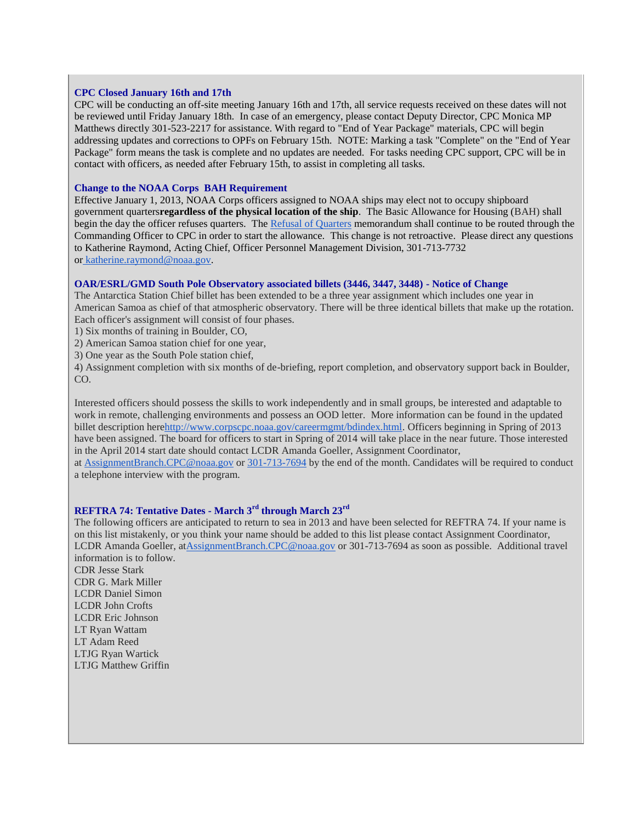#### <span id="page-1-0"></span>**CPC Closed January 16th and 17th**

CPC will be conducting an off-site meeting January 16th and 17th, all service requests received on these dates will not be reviewed until Friday January 18th. In case of an emergency, please contact Deputy Director, CPC Monica MP Matthews directly 301-523-2217 for assistance. With regard to "End of Year Package" materials, CPC will begin addressing updates and corrections to OPFs on February 15th. NOTE: Marking a task "Complete" on the "End of Year Package" form means the task is complete and no updates are needed. For tasks needing CPC support, CPC will be in contact with officers, as needed after February 15th, to assist in completing all tasks.

## <span id="page-1-1"></span>**Change to the NOAA Corps BAH Requirement**

Effective January 1, 2013, NOAA Corps officers assigned to NOAA ships may elect not to occupy shipboard government quarters**regardless of the physical location of the ship**. The Basic Allowance for Housing (BAH) shall begin the day the officer refuses quarters. The [Refusal of Quarters](http://www.corpscpc.noaa.gov/perservices/Files/refusal_of_quarters.doc) memorandum shall continue to be routed through the Commanding Officer to CPC in order to start the allowance. This change is not retroactive. Please direct any questions to Katherine Raymond, Acting Chief, Officer Personnel Management Division, 301-713-7732 or [katherine.raymond@noaa.gov.](mailto:katherine.raymond@noaa.gov)

## <span id="page-1-2"></span>**OAR/ESRL/GMD South Pole Observatory associated billets (3446, 3447, 3448) - Notice of Change**

The Antarctica Station Chief billet has been extended to be a three year assignment which includes one year in American Samoa as chief of that atmospheric observatory. There will be three identical billets that make up the rotation. Each officer's assignment will consist of four phases.

1) Six months of training in Boulder, CO,

2) American Samoa station chief for one year,

3) One year as the South Pole station chief,

4) Assignment completion with six months of de-briefing, report completion, and observatory support back in Boulder, CO.

Interested officers should possess the skills to work independently and in small groups, be interested and adaptable to work in remote, challenging environments and possess an OOD letter. More information can be found in the updated billet description her[ehttp://www.corpscpc.noaa.gov/careermgmt/bdindex.html.](http://www.corpscpc.noaa.gov/careermgmt/bdindex.html) Officers beginning in Spring of 2013 have been assigned. The board for officers to start in Spring of 2014 will take place in the near future. Those interested in the April 2014 start date should contact LCDR Amanda Goeller, Assignment Coordinator,

at [AssignmentBranch.CPC@noaa.gov](mailto:AssignmentBranch.CPC@noaa.gov) or [301-713-7694](tel:301-713-7694) by the end of the month. Candidates will be required to conduct a telephone interview with the program.

# <span id="page-1-3"></span>**REFTRA 74: Tentative Dates - March 3rd through March 23rd**

The following officers are anticipated to return to sea in 2013 and have been selected for REFTRA 74. If your name is on this list mistakenly, or you think your name should be added to this list please contact Assignment Coordinator, LCDR Amanda Goeller, a[tAssignmentBranch.CPC@noaa.gov](mailto:AssignmentBranch.CPC@noaa.gov) or 301-713-7694 as soon as possible. Additional travel information is to follow.

CDR Jesse Stark CDR G. Mark Miller LCDR Daniel Simon LCDR John Crofts LCDR Eric Johnson LT Ryan Wattam LT Adam Reed LTJG Ryan Wartick LTJG Matthew Griffin